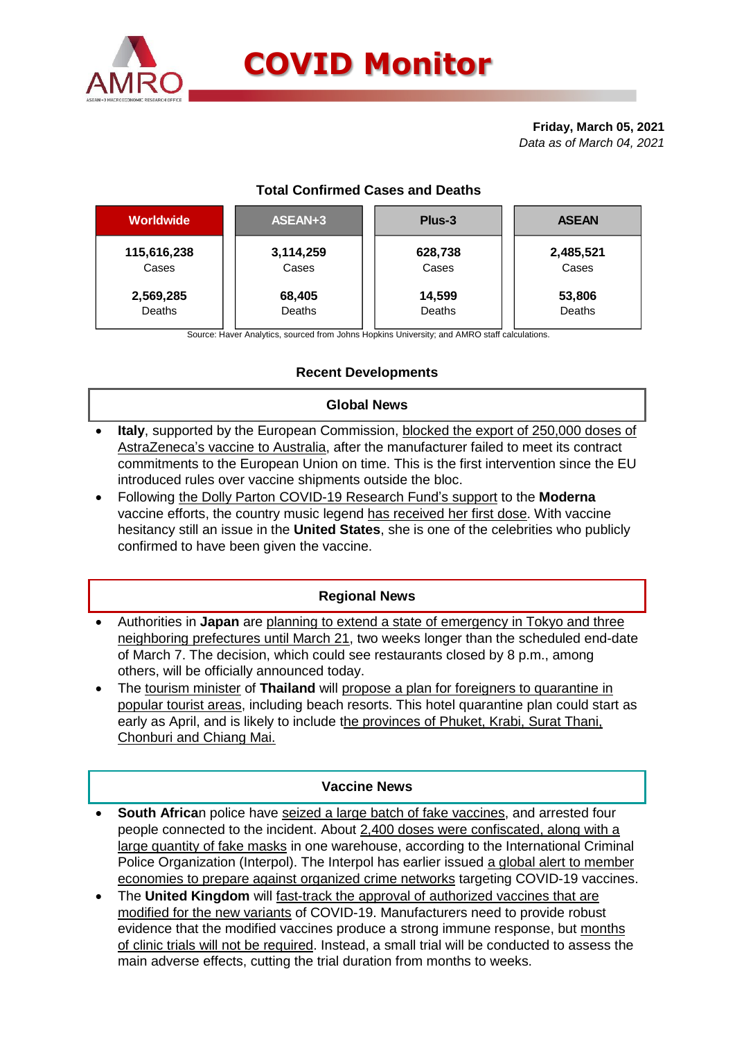

# **COVID Monitor**

#### **Friday, March 05, 2021** *Data as of March 04, 2021*

## **Total Confirmed Cases and Deaths**

| <b>Worldwide</b> | ASEAN+3   | Plus-3  | <b>ASEAN</b> |  |  |
|------------------|-----------|---------|--------------|--|--|
| 115,616,238      | 3,114,259 | 628,738 | 2,485,521    |  |  |
| Cases            | Cases     | Cases   | Cases        |  |  |
| 2,569,285        | 68,405    | 14,599  | 53,806       |  |  |
| Deaths           | Deaths    | Deaths  | Deaths       |  |  |

Source: Haver Analytics, sourced from Johns Hopkins University; and AMRO staff calculations.

## **Recent Developments**

#### **Global News**

- **Italy**, supported by the European Commission, blocked the export of 250,000 doses of AstraZeneca's vaccine to Australia, after the manufacturer failed to meet its contract commitments to the European Union on time. This is the first intervention since the EU introduced rules over vaccine shipments outside the bloc.
- Following the Dolly Parton COVID-19 Research Fund's support to the **Moderna** vaccine efforts, the country music legend has received her first dose. With vaccine hesitancy still an issue in the **United States**, she is one of the celebrities who publicly confirmed to have been given the vaccine.

#### **Regional News**

- Authorities in **Japan** are planning to extend a state of emergency in Tokyo and three neighboring prefectures until March 21, two weeks longer than the scheduled end-date of March 7. The decision, which could see restaurants closed by 8 p.m., among others, will be officially announced today.
- The tourism minister of **Thailand** will propose a plan for foreigners to quarantine in popular tourist areas, including beach resorts. This hotel quarantine plan could start as early as April, and is likely to include the provinces of Phuket, Krabi, Surat Thani, Chonburi and Chiang Mai.

#### **Vaccine News**

- **South Africa**n police have seized a large batch of fake vaccines, and arrested four people connected to the incident. About 2,400 doses were confiscated, along with a large quantity of fake masks in one warehouse, according to the International Criminal Police Organization (Interpol). The Interpol has earlier issued a global alert to member economies to prepare against organized crime networks targeting COVID-19 vaccines.
- The **United Kingdom** will fast-track the approval of authorized vaccines that are modified for the new variants of COVID-19. Manufacturers need to provide robust evidence that the modified vaccines produce a strong immune response, but months of clinic trials will not be required. Instead, a small trial will be conducted to assess the main adverse effects, cutting the trial duration from months to weeks.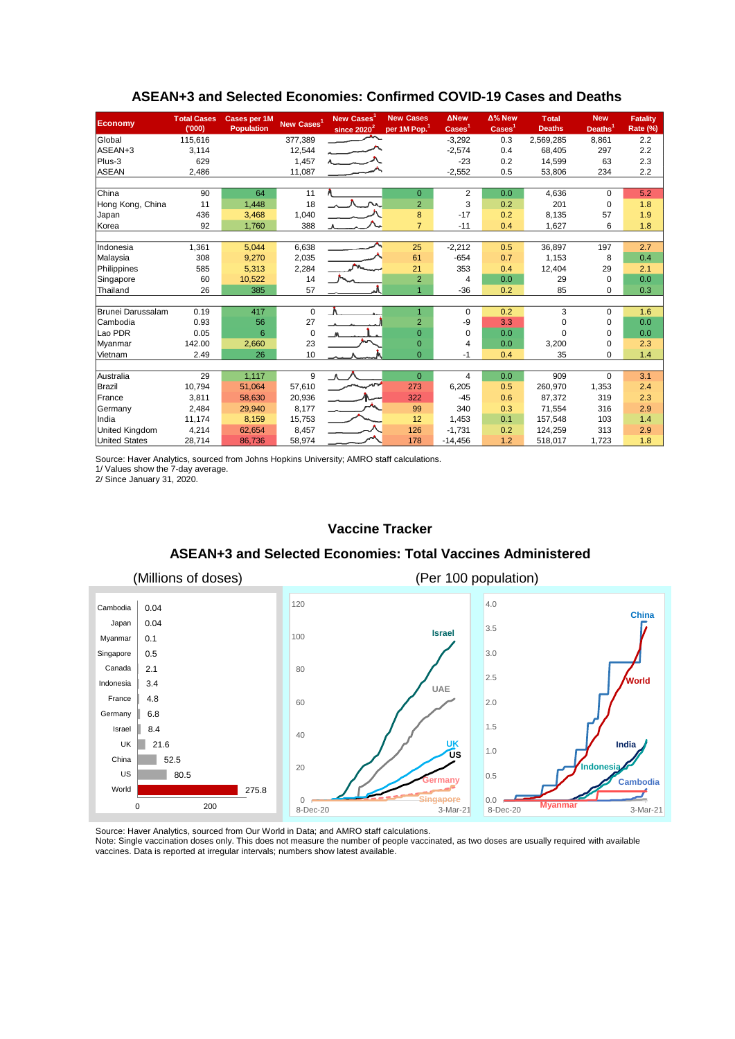| <b>Economy</b>        | <b>Total Cases</b><br>(000) | Cases per 1M<br><b>Population</b> | New Cases <sup>1</sup> | New Cases<br>since 2020 <sup>2</sup> | <b>New Cases</b><br>per 1M Pop. <sup>1</sup> | <b>ANew</b><br>$\overline{\text{Cases}}^1$ | Δ% New<br>$\text{Case}$ <sup>1</sup> | <b>Total</b><br><b>Deaths</b> | <b>New</b><br>Deaths <sup>1</sup> | <b>Fatality</b><br>Rate (%) |
|-----------------------|-----------------------------|-----------------------------------|------------------------|--------------------------------------|----------------------------------------------|--------------------------------------------|--------------------------------------|-------------------------------|-----------------------------------|-----------------------------|
| Global                | 115,616                     |                                   | 377,389                |                                      |                                              | $-3,292$                                   | 0.3                                  | 2,569,285                     | 8,861                             | 2.2                         |
| ASEAN+3               | 3,114                       |                                   | 12,544                 |                                      |                                              | $-2,574$                                   | 0.4                                  | 68,405                        | 297                               | 2.2                         |
| Plus-3                | 629                         |                                   | 1,457                  |                                      |                                              | $-23$                                      | 0.2                                  | 14,599                        | 63                                | 2.3                         |
| <b>ASEAN</b>          | 2,486                       |                                   | 11,087                 |                                      |                                              | $-2,552$                                   | 0.5                                  | 53,806                        | 234                               | 2.2                         |
|                       |                             |                                   |                        |                                      |                                              |                                            |                                      |                               |                                   |                             |
| China                 | 90                          | 64                                | 11                     |                                      | $\mathbf{0}$                                 | 2                                          | 0.0                                  | 4,636                         | $\Omega$                          | 5.2                         |
| Hong Kong, China      | 11                          | 1,448                             | 18                     |                                      | $\overline{2}$                               | 3                                          | 0.2                                  | 201                           | $\mathbf 0$                       | 1.8                         |
| Japan                 | 436                         | 3,468                             | 1,040                  |                                      | 8                                            | $-17$                                      | 0.2                                  | 8,135                         | 57                                | 1.9                         |
| Korea                 | 92                          | 1,760                             | 388                    |                                      | $\overline{7}$                               | $-11$                                      | 0.4                                  | 1,627                         | 6                                 | 1.8                         |
|                       |                             |                                   |                        |                                      |                                              |                                            |                                      |                               |                                   |                             |
| Indonesia             | 1,361                       | 5,044                             | 6,638                  |                                      | 25                                           | $-2,212$                                   | 0.5                                  | 36,897                        | 197                               | 2.7                         |
| Malaysia              | 308                         | 9,270                             | 2,035                  |                                      | 61                                           | $-654$                                     | 0.7                                  | 1.153                         | 8                                 | 0.4                         |
| Philippines           | 585                         | 5,313                             | 2,284                  |                                      | 21                                           | 353                                        | 0.4                                  | 12,404                        | 29                                | 2.1                         |
| Singapore             | 60                          | 10,522                            | 14                     |                                      | $\overline{2}$                               | $\overline{4}$                             | 0.0                                  | 29                            | 0                                 | 0.0                         |
| Thailand              | 26                          | 385                               | 57                     |                                      |                                              | $-36$                                      | 0.2                                  | 85                            | 0                                 | 0.3                         |
|                       |                             |                                   |                        |                                      |                                              |                                            |                                      |                               |                                   |                             |
| Brunei Darussalam     | 0.19                        | 417                               | $\mathbf 0$            | $\Lambda$                            | 1                                            | $\Omega$                                   | 0.2                                  | 3                             | $\Omega$                          | 1.6                         |
| Cambodia              | 0.93                        | 56                                | 27                     |                                      | $\overline{2}$                               | -9                                         | 3.3                                  | $\mathbf 0$                   | 0                                 | 0.0                         |
| Lao PDR               | 0.05                        | 6                                 | $\mathbf 0$            |                                      | $\Omega$                                     | $\Omega$                                   | 0.0                                  | $\Omega$                      | $\Omega$                          | 0.0                         |
| Myanmar               | 142.00                      | 2,660                             | 23                     |                                      | $\overline{0}$                               | 4                                          | 0.0                                  | 3,200                         | 0                                 | 2.3                         |
| Vietnam               | 2.49                        | 26                                | 10                     |                                      | $\overline{0}$                               | $-1$                                       | 0.4                                  | 35                            | 0                                 | 1.4                         |
| Australia             | 29                          | 1,117                             | 9                      | $\Lambda$                            | $\mathbf{0}$                                 | 4                                          | 0.0                                  | 909                           | $\Omega$                          | 3.1                         |
| Brazil                | 10,794                      | 51,064                            | 57,610                 |                                      | 273                                          | 6,205                                      | 0.5                                  | 260,970                       | 1,353                             | 2.4                         |
| France                | 3,811                       | 58,630                            | 20,936                 |                                      | 322                                          | $-45$                                      | 0.6                                  | 87.372                        | 319                               | 2.3                         |
| Germany               | 2,484                       | 29,940                            | 8,177                  |                                      | 99                                           | 340                                        | 0.3                                  | 71.554                        | 316                               | 2.9                         |
| India                 | 11,174                      | 8,159                             | 15,753                 |                                      | 12                                           | 1,453                                      | 0.1                                  | 157.548                       | 103                               | 1.4                         |
| <b>United Kingdom</b> | 4,214                       | 62,654                            | 8,457                  |                                      | 126                                          | $-1,731$                                   | 0.2                                  | 124,259                       | 313                               | 2.9                         |
| <b>United States</b>  | 28,714                      | 86,736                            | 58,974                 |                                      | 178                                          | $-14,456$                                  | 1.2                                  | 518,017                       | 1,723                             | 1.8                         |
|                       |                             |                                   |                        |                                      |                                              |                                            |                                      |                               |                                   |                             |

#### **ASEAN+3 and Selected Economies: Confirmed COVID-19 Cases and Deaths**

Source: Haver Analytics, sourced from Johns Hopkins University; AMRO staff calculations.

1/ Values show the 7-day average. 2/ Since January 31, 2020.

#### **Vaccine Tracker**

#### **ASEAN+3 and Selected Economies: Total Vaccines Administered**



Source: Haver Analytics, sourced from Our World in Data; and AMRO staff calculations.

Note: Single vaccination doses only. This does not measure the number of people vaccinated, as two doses are usually required with available vaccines. Data is reported at irregular intervals; numbers show latest available.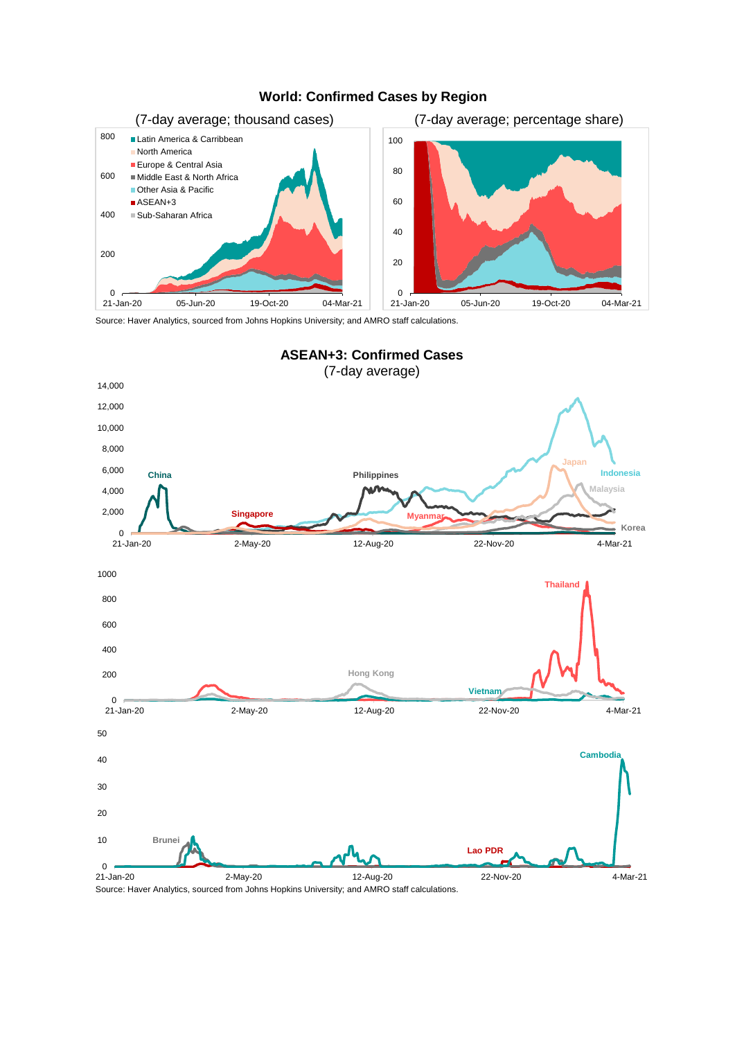

# **World: Confirmed Cases by Region**

Source: Haver Analytics, sourced from Johns Hopkins University; and AMRO staff calculations.



Source: Haver Analytics, sourced from Johns Hopkins University; and AMRO staff calculations.